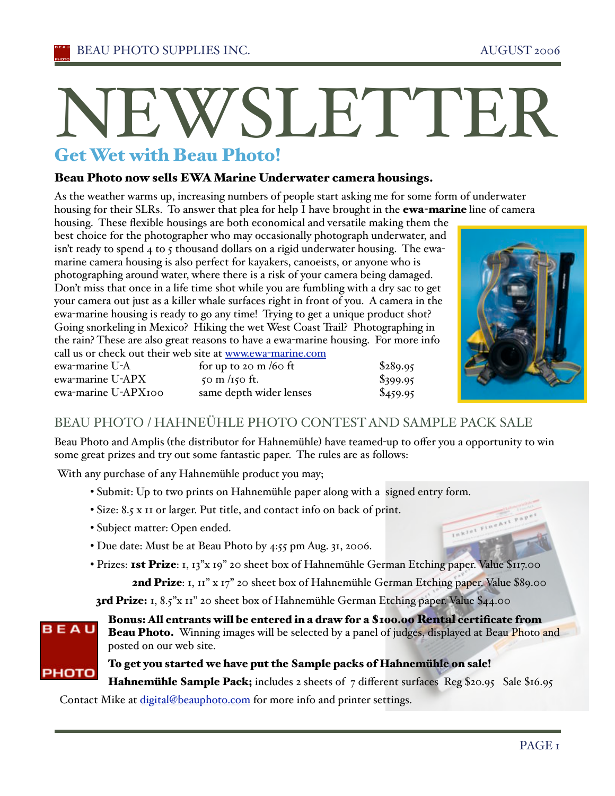# Get N<br>Get We Wet with Beau Photo! EWSLETTER

### Beau Photo now sells EWA Marine Underwater camera housings.

As the weather warms up, increasing numbers of people start asking me for some form of underwater housing for their SLRs. To answer that plea for help I have brought in the **ewa-marine** line of camera

housing. These flexible housings are both economical and versatile making them the best choice for the photographer who may occasionally photograph underwater, and isn't ready to spend 4 to 5 thousand dollars on a rigid underwater housing. The ewamarine camera housing is also perfect for kayakers, canoeists, or anyone who is photographing around water, where there is a risk of your camera being damaged. Don't miss that once in a life time shot while you are fumbling with a dry sac to get your camera out just as a killer whale surfaces right in front of you. A camera in the ewa-marine housing is ready to go any time! Trying to get a unique product shot? Going snorkeling in Mexico? Hiking the wet West Coast Trail? Photographing in the rain? These are also great reasons to have a ewa-marine housing. For more info call us or check out their web site at www.ewa-marine.com



Inklet FineArt

| ewa-marine U-A      | for up to 20 m/60 ft    | \$289.95   |
|---------------------|-------------------------|------------|
| ewa-marine U-APX .  | $50 \text{ m}$ /150 ft. | $\$399.95$ |
| ewa-marine U-APX100 | same depth wider lenses | \$459.95   |

## BEAU PHOTO / HAHNEÜHLE PHOTO CONTEST AND SAMPLE PACK SALE

Beau Photo and Amplis (the distributor for Hahnemühle) have teamed-up to offer you a opportunity to win some great prizes and try out some fantastic paper. The rules are as follows:

With any purchase of any Hahnemühle product you may;

- Submit: Up to two prints on Hahnemühle paper along with a signed entry form.
- Size: 8.5 x 11 or larger. Put title, and contact info on back of print.
- Subject matter: Open ended.
- Due date: Must be at Beau Photo by 4:55 pm Aug. 31, 2006.
- Prizes: **1st Prize**: 1, 13"x 19" 20 sheet box of Hahnemühle German Etching paper. Value \$117.00

2nd Prize: 1, 11" x 17" 20 sheet box of Hahnemühle German Etching paper. Value \$89.00

3rd Prize: 1, 8.5"x 11" 20 sheet box of Hahnemühle German Etching paper. Value \$44.00

**BEAU** 

Bonus: All entrants will be entered in a draw for a \$100.00 Rental certificate from Beau Photo. Winning images will be selected by a panel of judges, displayed at Beau Photo and posted on our web site.

#### To get you started we have put the Sample packs of Hahnemühle on sale!

РНОТО Hahnemühle Sample Pack; includes 2 sheets of 7 different surfaces Reg \$20.95 Sale \$16.95

Contact Mike at digital@beauphoto.com for more info and printer settings.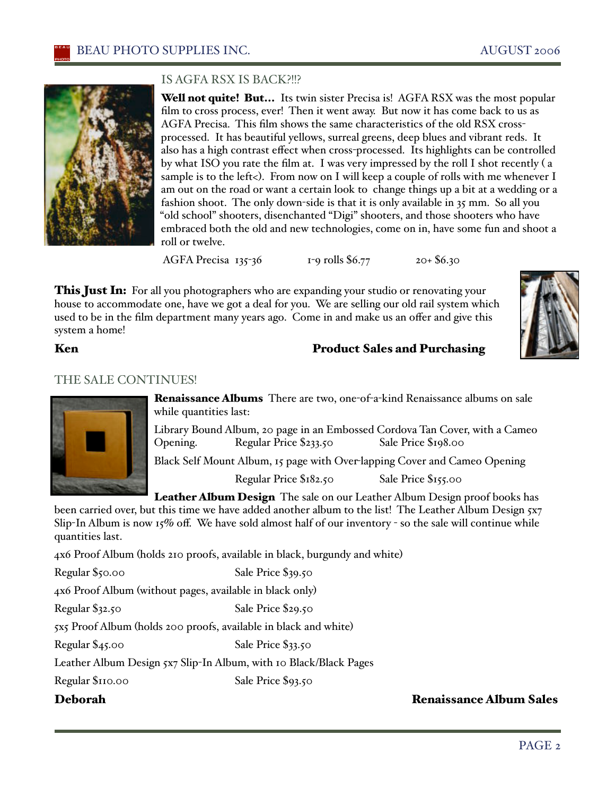

#### IS AGFA RSX IS BACK?!!?

**Well not quite! But...** Its twin sister Precisa is! AGFA RSX was the most popular film to cross process, ever! Then it went away. But now it has come back to us as AGFA Precisa. This film shows the same characteristics of the old RSX crossprocessed. It has beautiful yellows, surreal greens, deep blues and vibrant reds. It also has a high contrast effect when cross-processed. Its highlights can be controlled by what ISO you rate the film at. I was very impressed by the roll I shot recently ( a sample is to the left<). From now on I will keep a couple of rolls with me whenever I am out on the road or want a certain look to change things up a bit at a wedding or a fashion shoot. The only down-side is that it is only available in 35 mm. So all you "old school" shooters, disenchanted "Digi" shooters, and those shooters who have embraced both the old and new technologies, come on in, have some fun and shoot a roll or twelve.

AGFA Precisa 135-36 1-9 rolls \$6.77 20+ \$6.30

**This Just In:** For all you photographers who are expanding your studio or renovating your house to accommodate one, have we got a deal for you. We are selling our old rail system which used to be in the film department many years ago. Come in and make us an offer and give this system a home!



#### Ken **Product Sales and Purchasing**

#### THE SALE CONTINUES!



Renaissance Albums There are two, one-of-a-kind Renaissance albums on sale while quantities last:

Library Bound Album, 20 page in an Embossed Cordova Tan Cover, with a Cameo Opening. Regular Price \$233.50 Sale Price \$198.00

Black Self Mount Album, 15 page with Over-lapping Cover and Cameo Opening

Regular Price \$182.50 Sale Price \$155.00

Leather Album Design The sale on our Leather Album Design proof books has been carried over, but this time we have added another album to the list! The Leather Album Design 5x7 Slip-In Album is now  $15\%$  off. We have sold almost half of our inventory - so the sale will continue while quantities last.

4x6 Proof Album (holds 210 proofs, available in black, burgundy and white)

Regular \$50.00 Sale Price \$39.50

4x6 Proof Album (without pages, available in black only)

Regular \$32.50 Sale Price \$29.50

5x5 Proof Album (holds 200 proofs, available in black and white)

Regular \$45.00 Sale Price \$33.50

Leather Album Design 5x7 Slip-In Album, with 10 Black/Black Pages

Regular \$110.00 Sale Price \$93.50

### Deborah Renaissance Album Sales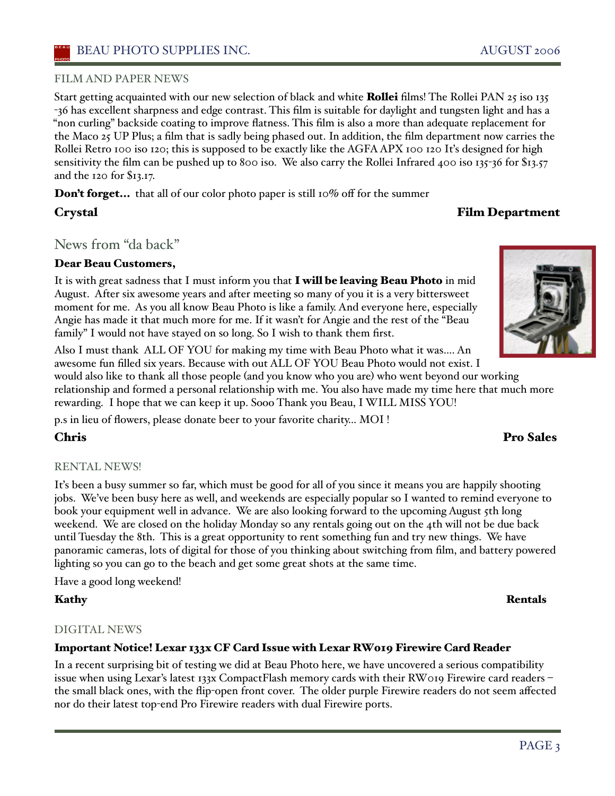#### FILM AND PAPER NEWS

Start getting acquainted with our new selection of black and white **Rollei** films! The Rollei PAN 25 iso 135 -36 has excellent sharpness and edge contrast. This film is suitable for daylight and tungsten light and has a "non curling" backside coating to improve flatness. This film is also a more than adequate replacement for the Maco 25 UP Plus; a film that is sadly being phased out. In addition, the film department now carries the Rollei Retro 100 iso 120; this is supposed to be exactly like the AGFA APX 100 120 It's designed for high sensitivity the film can be pushed up to 800 iso. We also carry the Rollei Infrared 400 iso 135-36 for \$13.57 and the 120 for \$13.17.

Don't forget... that all of our color photo paper is still 10% off for the summer

### News from "da back"

### Dear Beau Customers,

It is with great sadness that I must inform you that I will be leaving Beau Photo in mid August. After six awesome years and after meeting so many of you it is a very bittersweet moment for me. As you all know Beau Photo is like a family. And everyone here, especially Angie has made it that much more for me. If it wasn't for Angie and the rest of the "Beau family" I would not have stayed on so long. So I wish to thank them first.

Also I must thank ALL OF YOU for making my time with Beau Photo what it was…. An awesome fun filled six years. Because with out ALL OF YOU Beau Photo would not exist. I would also like to thank all those people (and you know who you are) who went beyond our working relationship and formed a personal relationship with me. You also have made my time here that much more rewarding. I hope that we can keep it up. Sooo Thank you Beau, I WILL MISS YOU!

p.s in lieu of flowers, please donate beer to your favorite charity… MOI !

### Chris Pro Sales

#### RENTAL NEWS!

Iťs been a busy summer so far, which must be good for all of you since it means you are happily shooting jobs. We've been busy here as well, and weekends are especially popular so I wanted to remind everyone to book your equipment well in advance. We are also looking forward to the upcoming August 5th long weekend. We are closed on the holiday Monday so any rentals going out on the 4th will not be due back until Tuesday the 8th. This is a great opportunity to rent something fun and try new things. We have panoramic cameras, lots of digital for those of you thinking about switching from film, and battery powered lighting so you can go to the beach and get some great shots at the same time.

Have a good long weekend!

#### Kathy Rentals

#### DIGITAL NEWS

#### Important Notice! Lexar 133x CF Card Issue with Lexar RW019 Firewire Card Reader

In a recent surprising bit of testing we did at Beau Photo here, we have uncovered a serious compatibility issue when using Lexar's latest 133x CompactFlash memory cards with their RW019 Firewire card readers – the small black ones, with the flip-open front cover. The older purple Firewire readers do not seem affected nor do their latest top-end Pro Firewire readers with dual Firewire ports.

## Crystal Film Department

### PAGE<sub>3</sub>